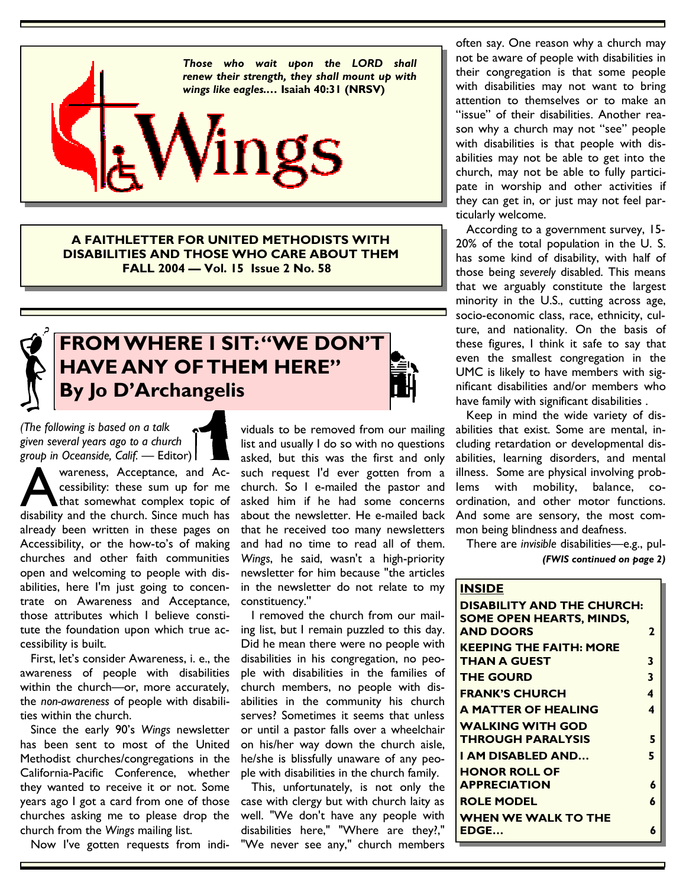

**A FAITHLETTER FOR UNITED METHODISTS WITH DISABILITIES AND THOSE WHO CARE ABOUT THEM FALL 2004 — Vol. 15 Issue 2 No. 58** 



## **FROM WHERE I SIT: "WE DON'T HAVE ANY OF THEM HERE" By Jo D'Archangelis**

*(The following is based on a talk given several years ago to a church group in Oceanside, Calif.* — Editor)

Wareness, Acceptance, and Accessibility: these sum up for me<br>that somewhat complex topic of<br>disability and the church. Since much has cessibility: these sum up for me that somewhat complex topic of already been written in these pages on Accessibility, or the how-to's of making churches and other faith communities open and welcoming to people with disabilities, here I'm just going to concentrate on Awareness and Acceptance, those attributes which I believe constitute the foundation upon which true accessibility is built.

 First, let's consider Awareness, i. e., the awareness of people with disabilities within the church—or, more accurately, the *non-awareness* of people with disabilities within the church.

 Since the early 90's *Wings* newsletter has been sent to most of the United Methodist churches/congregations in the California-Pacific Conference, whether they wanted to receive it or not. Some years ago I got a card from one of those churches asking me to please drop the church from the *Wings* mailing list.

Now I've gotten requests from indi-

viduals to be removed from our mailing list and usually I do so with no questions asked, but this was the first and only such request I'd ever gotten from a church. So I e-mailed the pastor and asked him if he had some concerns about the newsletter. He e-mailed back that he received too many newsletters and had no time to read all of them. *Wings*, he said, wasn't a high-priority newsletter for him because ''the articles in the newsletter do not relate to my constituency.''

 I removed the church from our mailing list, but I remain puzzled to this day. Did he mean there were no people with disabilities in his congregation, no people with disabilities in the families of church members, no people with disabilities in the community his church serves? Sometimes it seems that unless or until a pastor falls over a wheelchair on his/her way down the church aisle, he/she is blissfully unaware of any people with disabilities in the church family.

 This, unfortunately, is not only the case with clergy but with church laity as well. "We don't have any people with disabilities here," "Where are they?," "We never see any," church members

often say. One reason why a church may not be aware of people with disabilities in their congregation is that some people with disabilities may not want to bring attention to themselves or to make an "issue" of their disabilities. Another reason why a church may not "see" people with disabilities is that people with disabilities may not be able to get into the church, may not be able to fully participate in worship and other activities if they can get in, or just may not feel particularly welcome.

 According to a government survey, 15- 20% of the total population in the U. S. has some kind of disability, with half of those being *severely* disabled. This means that we arguably constitute the largest minority in the U.S., cutting across age, socio-economic class, race, ethnicity, culture, and nationality. On the basis of these figures, I think it safe to say that even the smallest congregation in the UMC is likely to have members with significant disabilities and/or members who have family with significant disabilities .

 Keep in mind the wide variety of disabilities that exist. Some are mental, including retardation or developmental disabilities, learning disorders, and mental illness. Some are physical involving problems with mobility, balance, coordination, and other motor functions. And some are sensory, the most common being blindness and deafness.

 There are *invisible* disabilities—e.g., pul- *(FWIS continued on page 2)* 

#### **INSIDE**

| DISABILITY AND THE CHURCH:<br>SOME OPEN HEARTS, MINDS,<br><b>AND DOORS</b> | 2 |
|----------------------------------------------------------------------------|---|
| <b>KEEPING THE FAITH: MORE</b><br>THAN A GUEST                             | 3 |
| <b>THE GOURD</b>                                                           | 3 |
| <b>FRANK'S CHURCH</b>                                                      | 4 |
| <b>A MATTER OF HEALING</b>                                                 | 4 |
| <b>WALKING WITH GOD</b>                                                    |   |
| <b>THROUGH PARALYSIS</b>                                                   | 5 |
| I AM DISABLED AND                                                          | 5 |
| <b>HONOR ROLL OF</b>                                                       |   |
| <b>APPRECIATION</b>                                                        | 6 |
| <b>ROLE MODEL</b>                                                          | 6 |
| WHEN WE WALK TO THE                                                        |   |
| EDGE                                                                       | 6 |

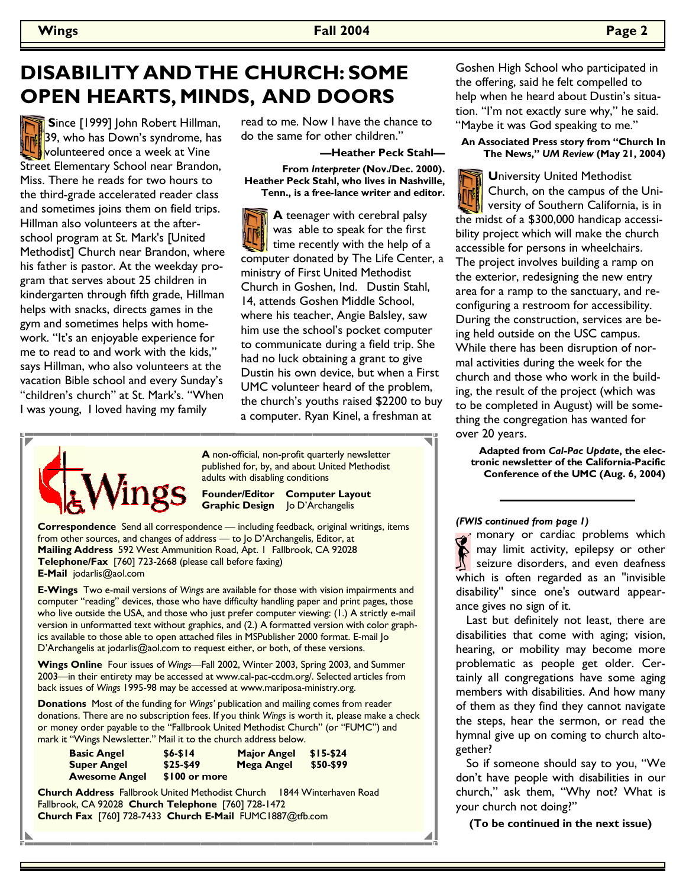## **DISABILITY AND THE CHURCH: SOME OPEN HEARTS, MINDS, AND DOORS**

 **S**ince [1999] John Robert Hillman, 39, who has Down's syndrome, has volunteered once a week at Vine Street Elementary School near Brandon, Miss. There he reads for two hours to the third-grade accelerated reader class and sometimes joins them on field trips. Hillman also volunteers at the afterschool program at St. Mark's [United Methodist] Church near Brandon, where his father is pastor. At the weekday program that serves about 25 children in kindergarten through fifth grade, Hillman helps with snacks, directs games in the gym and sometimes helps with homework. "It's an enjoyable experience for me to read to and work with the kids," says Hillman, who also volunteers at the vacation Bible school and every Sunday's "children's church" at St. Mark's. "When I was young, I loved having my family

read to me. Now I have the chance to do the same for other children."

#### **—Heather Peck Stahl— From** *Interpreter* **(Nov./Dec. 2000). Heather Peck Stahl, who lives in Nashville,**

**Tenn., is a free-lance writer and editor.** 

**A** teenager with cerebral palsy was able to speak for the first time recently with the help of a computer donated by The Life Center, a ministry of First United Methodist Church in Goshen, Ind. Dustin Stahl, 14, attends Goshen Middle School, where his teacher, Angie Balsley, saw him use the school's pocket computer to communicate during a field trip. She had no luck obtaining a grant to give Dustin his own device, but when a First UMC volunteer heard of the problem, the church's youths raised \$2200 to buy a computer. Ryan Kinel, a freshman at



**A** non-official, non-profit quarterly newsletter published for, by, and about United Methodist adults with disabling conditions

#### **Founder/Editor Computer Layout Graphic Design** Jo D'Archangelis

**Correspondence** Send all correspondence — including feedback, original writings, items from other sources, and changes of address — to Jo D'Archangelis, Editor, at **Mailing Address** 592 West Ammunition Road, Apt. 1 Fallbrook, CA 92028 **Telephone/Fax** [760] 723-2668 (please call before faxing) **E-Mail** jodarlis@aol.com

**E-Wings** Two e-mail versions of *Wings* are available for those with vision impairments and computer "reading" devices, those who have difficulty handling paper and print pages, those who live outside the USA, and those who just prefer computer viewing: (1.) A strictly e-mail version in unformatted text without graphics, and (2.) A formatted version with color graphics available to those able to open attached files in MSPublisher 2000 format. E-mail Jo D'Archangelis at jodarlis@aol.com to request either, or both, of these versions.

**Wings Online** Four issues of *Wings—*Fall 2002, Winter 2003, Spring 2003, and Summer 2003—in their entirety may be accessed at www.cal-pac-ccdm.org/. Selected articles from back issues of *Wings* 1995-98 may be accessed at www.mariposa-ministry.org.

**Donations** Most of the funding for *Wings'* publication and mailing comes from reader donations. There are no subscription fees. If you think *Wings* is worth it, please make a check or money order payable to the "Fallbrook United Methodist Church" (or "FUMC") and mark it "Wings Newsletter." Mail it to the church address below.

| <b>Basic Angel</b>   | $$6 - $14$    | <b>Major Angel</b> | $$15-$24$ |
|----------------------|---------------|--------------------|-----------|
| <b>Super Angel</b>   | $$25-$49$     | Mega Angel         | \$50-\$99 |
| <b>Awesome Angel</b> | \$100 or more |                    |           |

**Church Address** Fallbrook United Methodist Church 1844 Winterhaven Road Fallbrook, CA 92028 **Church Telephone** [760] 728-1472 **Church Fax** [760] 728-7433 **Church E-Mail** FUMC1887@tfb.com

Goshen High School who participated in the offering, said he felt compelled to help when he heard about Dustin's situation. "I'm not exactly sure why," he said. "Maybe it was God speaking to me."

#### **An Associated Press story from "Church In The News,"** *UM Review* **(May 21, 2004)**

**U**niversity United Methodist Church, on the campus of the University of Southern California, is in the midst of a \$300,000 handicap accessibility project which will make the church accessible for persons in wheelchairs. The project involves building a ramp on the exterior, redesigning the new entry area for a ramp to the sanctuary, and reconfiguring a restroom for accessibility. During the construction, services are being held outside on the USC campus. While there has been disruption of normal activities during the week for the church and those who work in the building, the result of the project (which was to be completed in August) will be something the congregation has wanted for over 20 years.

**Adapted from** *Cal-Pac Update***, the electronic newsletter of the California-Pacific Conference of the UMC (Aug. 6, 2004)**

#### *(FWIS continued from page 1)*

monary or cardiac problems which may limit activity, epilepsy or other seizure disorders, and even deafness which is often regarded as an "invisible disability'' since one's outward appearance gives no sign of it.

 Last but definitely not least, there are disabilities that come with aging; vision, hearing, or mobility may become more problematic as people get older. Certainly all congregations have some aging members with disabilities. And how many of them as they find they cannot navigate the steps, hear the sermon, or read the hymnal give up on coming to church altogether?

 So if someone should say to you, "We don't have people with disabilities in our church," ask them, "Why not? What is your church not doing?"

**(To be continued in the next issue)**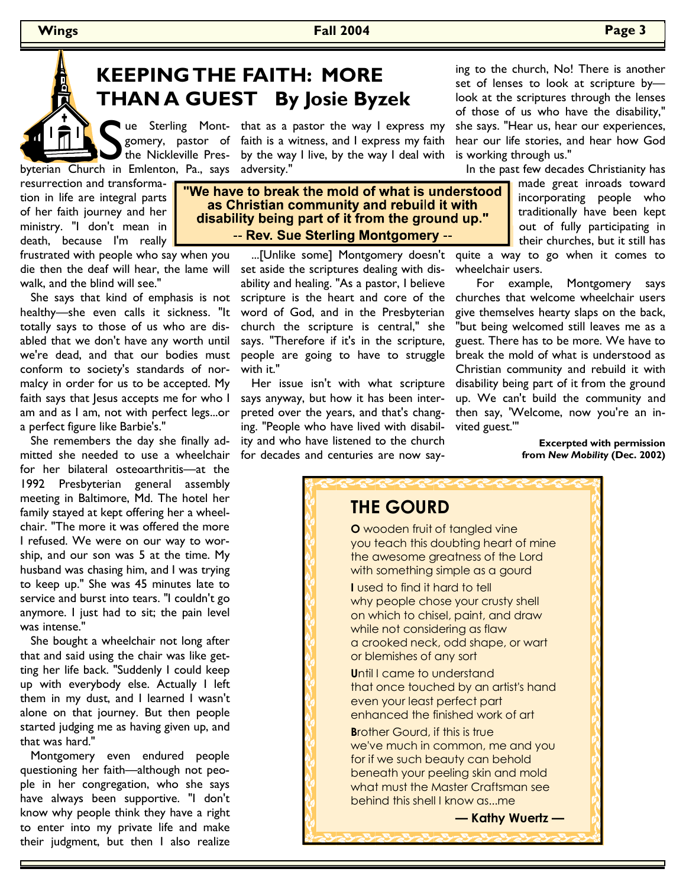## **KEEPING THE FAITH: MORE THAN A GUEST By Josie Byzek**

The Sterling Mont-that as a property, pastor of faith is a webyterian Church in Emlenton, Pa., says adversity." gomery, pastor of faith is a witness, and I express my faith the Nickleville Pres-by the way I live, by the way I deal with ue Sterling Mont- that as a pastor the way I express my

resurrection and transformation in life are integral parts of her faith journey and her ministry. "I don't mean in death, because I'm really

frustrated with people who say when you die then the deaf will hear, the lame will walk, and the blind will see."

 She says that kind of emphasis is not healthy—she even calls it sickness. "It totally says to those of us who are disabled that we don't have any worth until we're dead, and that our bodies must conform to society's standards of normalcy in order for us to be accepted. My faith says that Jesus accepts me for who I am and as I am, not with perfect legs...or a perfect figure like Barbie's."

She remembers the day she finally admitted she needed to use a wheelchair for her bilateral osteoarthritis—at the 1992 Presbyterian general assembly meeting in Baltimore, Md. The hotel her family stayed at kept offering her a wheelchair. "The more it was offered the more I refused. We were on our way to worship, and our son was 5 at the time. My husband was chasing him, and I was trying to keep up." She was 45 minutes late to service and burst into tears. "I couldn't go anymore. I just had to sit; the pain level was intense."

She bought a wheelchair not long after that and said using the chair was like getting her life back. "Suddenly I could keep up with everybody else. Actually I left them in my dust, and I learned I wasn't alone on that journey. But then people started judging me as having given up, and that was hard."

Montgomery even endured people questioning her faith—although not people in her congregation, who she says have always been supportive. "I don't know why people think they have a right to enter into my private life and make their judgment, but then I also realize

#### "We have to break the mold of what is understood as Christian community and rebuild it with disability being part of it from the ground up." -- Rev. Sue Sterling Montgomery --

set aside the scriptures dealing with disability and healing. "As a pastor, I believe scripture is the heart and core of the word of God, and in the Presbyterian church the scripture is central," she says. "Therefore if it's in the scripture, people are going to have to struggle with it."

Her issue isn't with what scripture says anyway, but how it has been interpreted over the years, and that's changing. "People who have lived with disability and who have listened to the church for decades and centuries are now say-

ing to the church, No! There is another set of lenses to look at scripture by look at the scriptures through the lenses of those of us who have the disability," she says. "Hear us, hear our experiences, hear our life stories, and hear how God is working through us."

In the past few decades Christianity has

made great inroads toward incorporating people who traditionally have been kept out of fully participating in their churches, but it still has

...[Unlike some] Montgomery doesn't quite a way to go when it comes to wheelchair users.

> For example, Montgomery says churches that welcome wheelchair users give themselves hearty slaps on the back, "but being welcomed still leaves me as a guest. There has to be more. We have to break the mold of what is understood as Christian community and rebuild it with disability being part of it from the ground up. We can't build the community and then say, 'Welcome, now you're an invited guest.'"

> > **Excerpted with permission from** *New Mobility* **(Dec. 2002)**



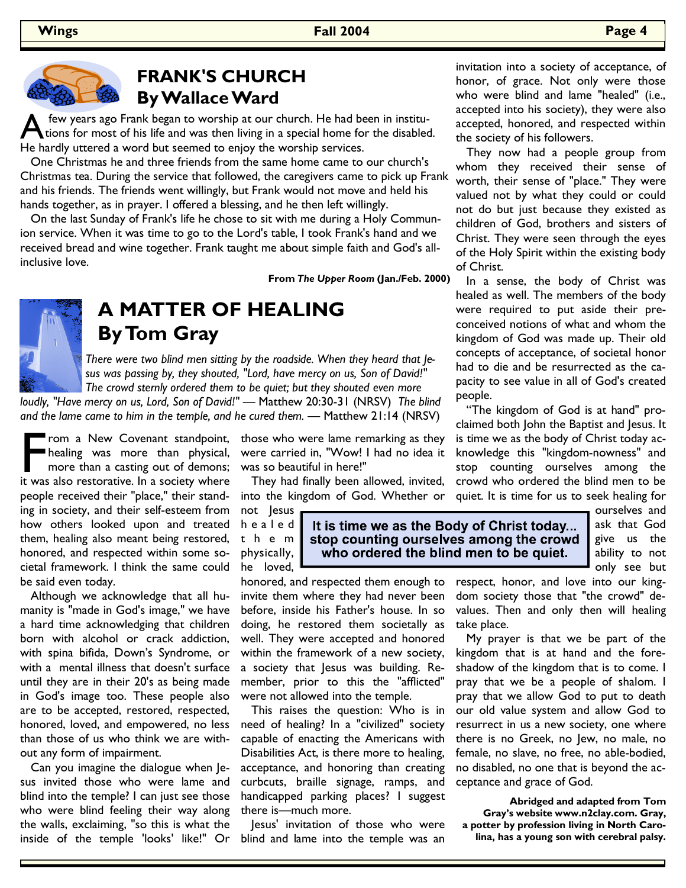

### **FRANK'S CHURCH By Wallace Ward**

few years ago Frank began to worship at our church. He had been in institu- $\Delta$  tions for most of his life and was then living in a special home for the disabled. He hardly uttered a word but seemed to enjoy the worship services.

 One Christmas he and three friends from the same home came to our church's Christmas tea. During the service that followed, the caregivers came to pick up Frank and his friends. The friends went willingly, but Frank would not move and held his hands together, as in prayer. I offered a blessing, and he then left willingly.

 On the last Sunday of Frank's life he chose to sit with me during a Holy Communion service. When it was time to go to the Lord's table, I took Frank's hand and we received bread and wine together. Frank taught me about simple faith and God's allinclusive love.

**From** *The Upper Room* **(Jan./Feb. 2000)**



### **A MATTER OF HEALING By Tom Gray**

 *There were two blind men sitting by the roadside. When they heard that Je sus was passing by, they shouted, "Lord, have mercy on us, Son of David!" The crowd sternly ordered them to be quiet; but they shouted even more* 

*loudly, "Have mercy on us, Lord, Son of David!" —* Matthew 20:30-31 (NRSV) *The blind and the lame came to him in the temple, and he cured them. —* Matthew 21:14 (NRSV)

F rom a New Covenant standpoint,<br>healing was more than physical,<br>more than a casting out of demons;<br>it was also restorative. In a society where healing was more than physical, more than a casting out of demons; it was also restorative. In a society where people received their "place," their standing in society, and their self-esteem from how others looked upon and treated them, healing also meant being restored, honored, and respected within some societal framework. I think the same could be said even today.

 Although we acknowledge that all humanity is "made in God's image," we have a hard time acknowledging that children born with alcohol or crack addiction, with spina bifida, Down's Syndrome, or with a mental illness that doesn't surface until they are in their 20's as being made in God's image too. These people also are to be accepted, restored, respected, honored, loved, and empowered, no less than those of us who think we are without any form of impairment.

 Can you imagine the dialogue when Jesus invited those who were lame and blind into the temple? I can just see those who were blind feeling their way along the walls, exclaiming, "so this is what the inside of the temple 'looks' like!" Or those who were lame remarking as they were carried in, "Wow! I had no idea it was so beautiful in here!"

 They had finally been allowed, invited, into the kingdom of God. Whether or

not Jesus h e a l e d t h e m physically, he loved,

who ordered the blind men to be quiet.

take place.

ability to not only see but respect, honor, and love into our kingdom society those that "the crowd" devalues. Then and only then will healing

 My prayer is that we be part of the kingdom that is at hand and the foreshadow of the kingdom that is to come. I pray that we be a people of shalom. I pray that we allow God to put to death our old value system and allow God to resurrect in us a new society, one where there is no Greek, no Jew, no male, no female, no slave, no free, no able-bodied, no disabled, no one that is beyond the acceptance and grace of God.

**Abridged and adapted from Tom Gray's website www.n2clay.com. Gray, a potter by profession living in North Carolina, has a young son with cerebral palsy.**

## It is time we as the Body of Christ today... stop counting ourselves among the crowd

honored, and respected them enough to invite them where they had never been before, inside his Father's house. In so doing, he restored them societally as well. They were accepted and honored within the framework of a new society, a society that Jesus was building. Remember, prior to this the "afflicted" were not allowed into the temple.

 This raises the question: Who is in need of healing? In a "civilized" society capable of enacting the Americans with Disabilities Act, is there more to healing, acceptance, and honoring than creating curbcuts, braille signage, ramps, and handicapped parking places? I suggest there is—much more.

 Jesus' invitation of those who were blind and lame into the temple was an

 They now had a people group from whom they received their sense of worth, their sense of "place." They were valued not by what they could or could not do but just because they existed as children of God, brothers and sisters of Christ. They were seen through the eyes of the Holy Spirit within the existing body of Christ.

 In a sense, the body of Christ was healed as well. The members of the body were required to put aside their preconceived notions of what and whom the kingdom of God was made up. Their old concepts of acceptance, of societal honor had to die and be resurrected as the capacity to see value in all of God's created people.

 "The kingdom of God is at hand" proclaimed both John the Baptist and Jesus. It is time we as the body of Christ today acknowledge this "kingdom-nowness" and stop counting ourselves among the crowd who ordered the blind men to be quiet. It is time for us to seek healing for

> ourselves and ask that God give us the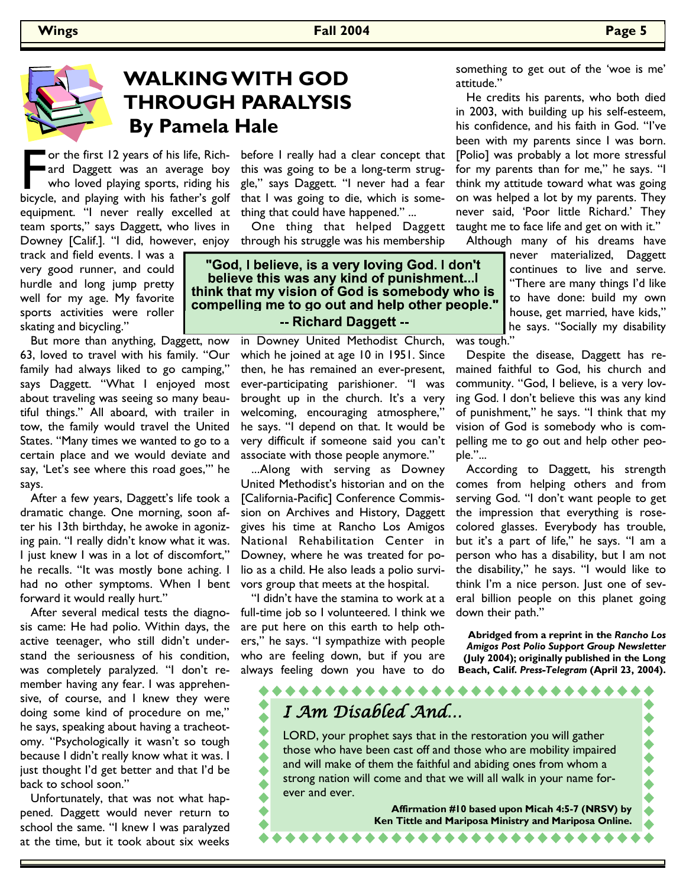## **WALKING WITH GOD THROUGH PARALYSIS By Pamela Hale**

For the first 12 years of his life, Rich-<br>
ard Daggett was an average boy<br>
who loved playing sports, riding his<br>
bicycle, and playing with his father's golf ard Daggett was an average boy who loved playing sports, riding his equipment. "I never really excelled at team sports," says Daggett, who lives in Downey [Calif.]. "I did, however, enjoy

track and field events. I was a very good runner, and could hurdle and long jump pretty well for my age. My favorite sports activities were roller skating and bicycling."

 But more than anything, Daggett, now 63, loved to travel with his family. "Our family had always liked to go camping," says Daggett. "What I enjoyed most about traveling was seeing so many beautiful things." All aboard, with trailer in tow, the family would travel the United States. "Many times we wanted to go to a certain place and we would deviate and say, 'Let's see where this road goes,'" he says.

 After a few years, Daggett's life took a dramatic change. One morning, soon after his 13th birthday, he awoke in agonizing pain. "I really didn't know what it was. I just knew I was in a lot of discomfort," he recalls. "It was mostly bone aching. I had no other symptoms. When I bent forward it would really hurt."

 After several medical tests the diagnosis came: He had polio. Within days, the active teenager, who still didn't understand the seriousness of his condition, was completely paralyzed. "I don't remember having any fear. I was apprehensive, of course, and I knew they were doing some kind of procedure on me," he says, speaking about having a tracheotomy. "Psychologically it wasn't so tough because I didn't really know what it was. I just thought I'd get better and that I'd be back to school soon."

 Unfortunately, that was not what happened. Daggett would never return to school the same. "I knew I was paralyzed at the time, but it took about six weeks

before I really had a clear concept that this was going to be a long-term struggle," says Daggett. "I never had a fear that I was going to die, which is something that could have happened." ...

 One thing that helped Daggett through his struggle was his membership

"God, I believe, is a very loving God. I don't believe this was any kind of punishment... think that my vision of God is somebody who is compelling me to go out and help other people." -- Richard Daggett --

> in Downey United Methodist Church, which he joined at age 10 in 1951. Since then, he has remained an ever-present, ever-participating parishioner. "I was brought up in the church. It's a very welcoming, encouraging atmosphere," he says. "I depend on that. It would be very difficult if someone said you can't associate with those people anymore."

> ...Along with serving as Downey United Methodist's historian and on the [California-Pacific] Conference Commission on Archives and History, Daggett gives his time at Rancho Los Amigos National Rehabilitation Center in Downey, where he was treated for polio as a child. He also leads a polio survivors group that meets at the hospital.

> "I didn't have the stamina to work at a full-time job so I volunteered. I think we are put here on this earth to help others," he says. "I sympathize with people who are feeling down, but if you are always feeling down you have to do

something to get out of the 'woe is me' attitude."

 He credits his parents, who both died in 2003, with building up his self-esteem, his confidence, and his faith in God. "I've been with my parents since I was born. [Polio] was probably a lot more stressful for my parents than for me," he says. "I think my attitude toward what was going on was helped a lot by my parents. They never said, 'Poor little Richard.' They taught me to face life and get on with it."

Although many of his dreams have

never materialized, Daggett continues to live and serve. "There are many things I'd like to have done: build my own house, get married, have kids," he says. "Socially my disability

was tough."

 Despite the disease, Daggett has remained faithful to God, his church and community. "God, I believe, is a very loving God. I don't believe this was any kind of punishment," he says. "I think that my vision of God is somebody who is compelling me to go out and help other people."...

 According to Daggett, his strength comes from helping others and from serving God. "I don't want people to get the impression that everything is rosecolored glasses. Everybody has trouble, but it's a part of life," he says. "I am a person who has a disability, but I am not the disability," he says. "I would like to think I'm a nice person. Just one of several billion people on this planet going down their path."

**Abridged from a reprint in the** *Rancho Los Amigos Post Polio Support Group Newsletter* **(July 2004); originally published in the Long Beach, Calif.** *Press-Telegram* **(April 23, 2004).** 

# I Am Disabled And… LORD, your prophet says that in the restoration you will gather

those who have been cast off and those who are mobility impaired and will make of them the faithful and abiding ones from whom a strong nation will come and that we will all walk in your name forever and ever.

> **Affirmation #10 based upon Micah 4:5-7 (NRSV) by Ken Tittle and Mariposa Ministry and Mariposa Online.**